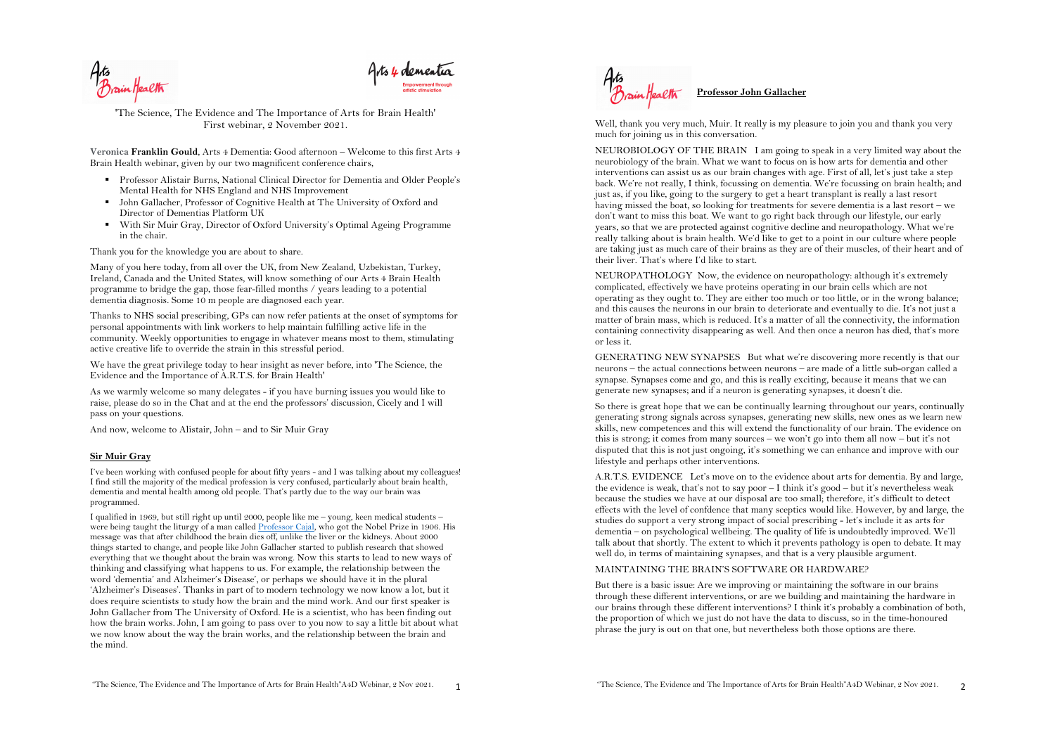

'The Science, The Evidence and The Importance of Arts for Brain Health' First webinar, 2 November 2021.

**Veronica Franklin Gould**, Arts 4 Dementia: Good afternoon – Welcome to this first Arts 4 Brain Health webinar, given by our two magnificent conference chairs,

- § Professor Alistair Burns, National Clinical Director for Dementia and Older People's Mental Health for NHS England and NHS Improvement
- § John Gallacher, Professor of Cognitive Health at The University of Oxford and Director of Dementias Platform UK
- With Sir Muir Gray, Director of Oxford University's Optimal Ageing Programme in the chair.

Thank you for the knowledge you are about to share.

Many of you here today, from all over the UK, from New Zealand, Uzbekistan, Turkey, Ireland, Canada and the United States, will know something of our Arts 4 Brain Health programme to bridge the gap, those fear-filled months / years leading to a potential dementia diagnosis. Some 10 m people are diagnosed each year.

Thanks to NHS social prescribing, GPs can now refer patients at the onset of symptoms for personal appointments with link workers to help maintain fulfilling active life in the community. Weekly opportunities to engage in whatever means most to them, stimulating active creative life to override the strain in this stressful period.

We have the great privilege today to hear insight as never before, into 'The Science, the Evidence and the Importance of A.R.T.S. for Brain Health'

As we warmly welcome so many delegates - if you have burning issues you would like to raise, please do so in the Chat and at the end the professors' discussion, Cicely and I will pass on your questions.

And now, welcome to Alistair, John – and to Sir Muir Gray

### **Sir Muir Gray**

I've been working with confused people for about fifty years - and I was talking about my colleagues! I find still the majority of the medical profession is very confused, particularly about brain health, dementia and mental health among old people. That's partly due to the way our brain was programmed.

I qualified in 1969, but still right up until 2000, people like me – young, keen medical students – were being taught the liturgy of a man called Professor Cajal, who got the Nobel Prize in 1906. His message was that after childhood the brain dies off, unlike the liver or the kidneys. About 2000 things started to change, and people like John Gallacher started to publish research that showed everything that we thought about the brain was wrong. Now this starts to lead to new ways of thinking and classifying what happens to us. For example, the relationship between the word 'dementia' and Alzheimer's Disease', or perhaps we should have it in the plural 'Alzheimer's Diseases'. Thanks in part of to modern technology we now know a lot, but it does require scientists to study how the brain and the mind work. And our first speaker is John Gallacher from The University of Oxford. He is a scientist, who has been finding out how the brain works. John, I am going to pass over to you now to say a little bit about what we now know about the way the brain works, and the relationship between the brain and the mind.



Well, thank you very much, Muir. It really is my pleasure to join you and thank you very much for joining us in this conversation.

NEUROBIOLOGY OF THE BRAIN I am going to speak in a very limited way about the neurobiology of the brain. What we want to focus on is how arts for dementia and other interventions can assist us as our brain changes with age. First of all, let's just take a step back. We're not really, I think, focussing on dementia. We're focussing on brain health; and just as, if you like, going to the surgery to get a heart transplant is really a last resort having missed the boat, so looking for treatments for severe dementia is a last resort – we don't want to miss this boat. We want to go right back through our lifestyle, our early years, so that we are protected against cognitive decline and neuropathology. What we're really talking about is brain health. We'd like to get to a point in our culture where people are taking just as much care of their brains as they are of their muscles, of their heart and of their liver. That's where I'd like to start.

NEUROPATHOLOGY Now, the evidence on neuropathology: although it's extremely complicated, effectively we have proteins operating in our brain cells which are not operating as they ought to. They are either too much or too little, or in the wrong balance; and this causes the neurons in our brain to deteriorate and eventually to die. It's not just a matter of brain mass, which is reduced. It's a matter of all the connectivity, the information containing connectivity disappearing as well. And then once a neuron has died, that's more or less it.

GENERATING NEW SYNAPSES But what we're discovering more recently is that our neurons – the actual connections between neurons – are made of a little sub-organ called a synapse. Synapses come and go, and this is really exciting, because it means that we can generate new synapses; and if a neuron is generating synapses, it doesn't die.

So there is great hope that we can be continually learning throughout our years, continually generating strong signals across synapses, generating new skills, new ones as we learn new skills, new competences and this will extend the functionality of our brain. The evidence on this is strong; it comes from many sources – we won't go into them all now – but it's not disputed that this is not just ongoing, it's something we can enhance and improve with our lifestyle and perhaps other interventions.

A.R.T.S. EVIDENCE Let's move on to the evidence about arts for dementia. By and large, the evidence is weak, that's not to say poor  $-1$  think it's good  $-$  but it's nevertheless weak because the studies we have at our disposal are too small; therefore, it's difficult to detect effects with the level of confdence that many sceptics would like. However, by and large, the studies do support a very strong impact of social prescribing - let's include it as arts for dementia – on psychological wellbeing. The quality of life is undoubtedly improved. We'll talk about that shortly. The extent to which it prevents pathology is open to debate. It may well do, in terms of maintaining synapses, and that is a very plausible argument.

### MAINTAINING THE BRAIN'S SOFTWARE OR HARDWARE?

But there is a basic issue: Are we improving or maintaining the software in our brains through these different interventions, or are we building and maintaining the hardware in our brains through these different interventions? I think it's probably a combination of both, the proportion of which we just do not have the data to discuss, so in the time-honoured phrase the jury is out on that one, but nevertheless both those options are there.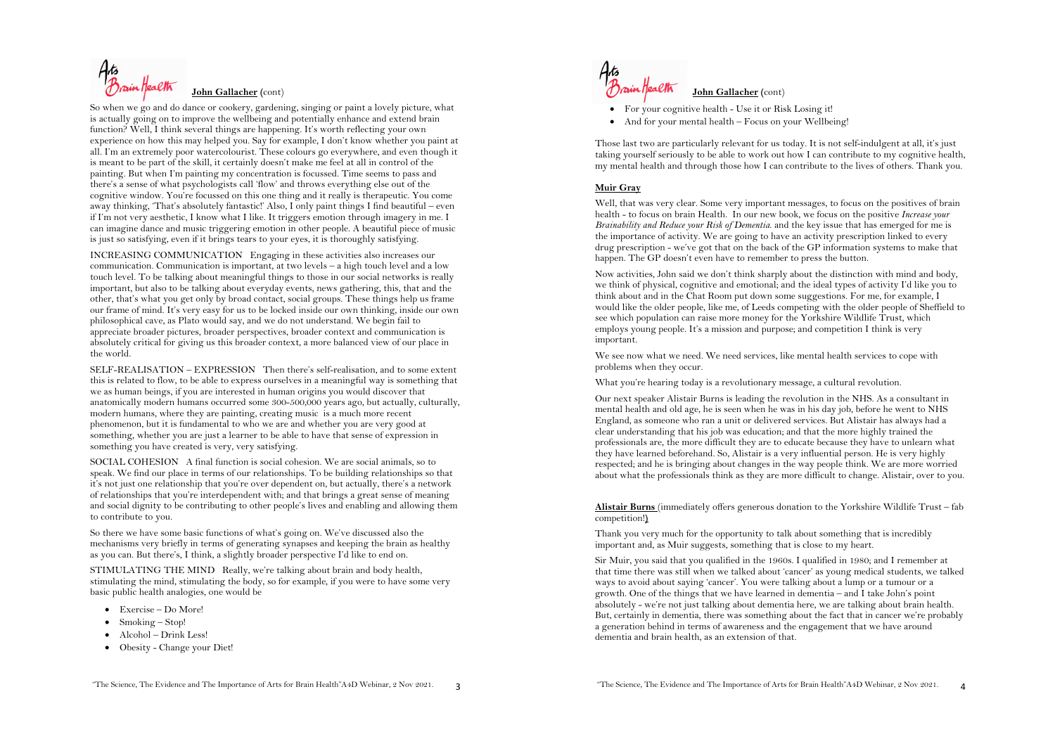

So when we go and do dance or cookery, gardening, singing or paint a lovely picture, what is actually going on to improve the wellbeing and potentially enhance and extend brain function? Well, I think several things are happening. It's worth reflecting your own experience on how this may helped you. Say for example, I don't know whether you paint at all. I'm an extremely poor watercolourist. These colours go everywhere, and even though it is meant to be part of the skill, it certainly doesn't make me feel at all in control of the painting. But when I'm painting my concentration is focussed. Time seems to pass and there's a sense of what psychologists call 'flow' and throws everything else out of the cognitive window. You're focussed on this one thing and it really is therapeutic. You come away thinking, 'That's absolutely fantastic!' Also, I only paint things I find beautiful – even if I'm not very aesthetic, I know what I like. It triggers emotion through imagery in me. I can imagine dance and music triggering emotion in other people. A beautiful piece of music is just so satisfying, even if it brings tears to your eyes, it is thoroughly satisfying.

INCREASING COMMUNICATION Engaging in these activities also increases our communication. Communication is important, at two levels – a high touch level and a low touch level. To be talking about meaningful things to those in our social networks is really important, but also to be talking about everyday events, news gathering, this, that and the other, that's what you get only by broad contact, social groups. These things help us frame our frame of mind. It's very easy for us to be locked inside our own thinking, inside our own philosophical cave, as Plato would say, and we do not understand. We begin fail to appreciate broader pictures, broader perspectives, broader context and communication is absolutely critical for giving us this broader context, a more balanced view of our place in the world.

SELF-REALISATION – EXPRESSION Then there's self-realisation, and to some extent this is related to flow, to be able to express ourselves in a meaningful way is something that we as human beings, if you are interested in human origins you would discover that anatomically modern humans occurred some 300-500,000 years ago, but actually, culturally, modern humans, where they are painting, creating music is a much more recent phenomenon, but it is fundamental to who we are and whether you are very good at something, whether you are just a learner to be able to have that sense of expression in something you have created is very, very satisfying.

SOCIAL COHESION A final function is social cohesion. We are social animals, so to speak. We find our place in terms of our relationships. To be building relationships so that it's not just one relationship that you're over dependent on, but actually, there's a network of relationships that you're interdependent with; and that brings a great sense of meaning and social dignity to be contributing to other people's lives and enabling and allowing them to contribute to you.

So there we have some basic functions of what's going on. We've discussed also the mechanisms very briefly in terms of generating synapses and keeping the brain as healthy as you can. But there's, I think, a slightly broader perspective I'd like to end on.

STIMULATING THE MIND Really, we're talking about brain and body health, stimulating the mind, stimulating the body, so for example, if you were to have some very basic public health analogies, one would be

- Exercise Do More!
- Smoking Stop!
- Alcohol Drink Less!
- Obesity Change your Diet!



• For your cognitive health - Use it or Risk Losing it!

• And for your mental health – Focus on your Wellbeing!

Those last two are particularly relevant for us today. It is not self-indulgent at all, it's just taking yourself seriously to be able to work out how I can contribute to my cognitive health, my mental health and through those how I can contribute to the lives of others. Thank you.

## **Muir Gray**

Well, that was very clear. Some very important messages, to focus on the positives of brain health - to focus on brain Health. In our new book, we focus on the positive *Increase your Brainability and Reduce your Risk of Dementia*. and the key issue that has emerged for me is the importance of activity. We are going to have an activity prescription linked to every drug prescription - we've got that on the back of the GP information systems to make that happen. The GP doesn't even have to remember to press the button.

Now activities, John said we don't think sharply about the distinction with mind and body, we think of physical, cognitive and emotional; and the ideal types of activity I'd like you to think about and in the Chat Room put down some suggestions. For me, for example, I would like the older people, like me, of Leeds competing with the older people of Sheffield to see which population can raise more money for the Yorkshire Wildlife Trust, which employs young people. It's a mission and purpose; and competition I think is very important.

We see now what we need. We need services, like mental health services to cope with problems when they occur.

What you're hearing today is a revolutionary message, a cultural revolution.

Our next speaker Alistair Burns is leading the revolution in the NHS. As a consultant in mental health and old age, he is seen when he was in his day job, before he went to NHS England, as someone who ran a unit or delivered services. But Alistair has always had a clear understanding that his job was education; and that the more highly trained the professionals are, the more difficult they are to educate because they have to unlearn what they have learned beforehand. So, Alistair is a very influential person. He is very highly respected; and he is bringing about changes in the way people think. We are more worried about what the professionals think as they are more difficult to change. Alistair, over to you.

**Alistair Burns** (immediately offers generous donation to the Yorkshire Wildlife Trust – fab competition!**)**

Thank you very much for the opportunity to talk about something that is incredibly important and, as Muir suggests, something that is close to my heart.

Sir Muir, you said that you qualified in the 1960s. I qualified in 1980; and I remember at that time there was still when we talked about 'cancer' as young medical students, we talked ways to avoid about saying 'cancer'. You were talking about a lump or a tumour or a growth. One of the things that we have learned in dementia – and I take John's point absolutely - we're not just talking about dementia here, we are talking about brain health. But, certainly in dementia, there was something about the fact that in cancer we're probably a generation behind in terms of awareness and the engagement that we have around dementia and brain health, as an extension of that.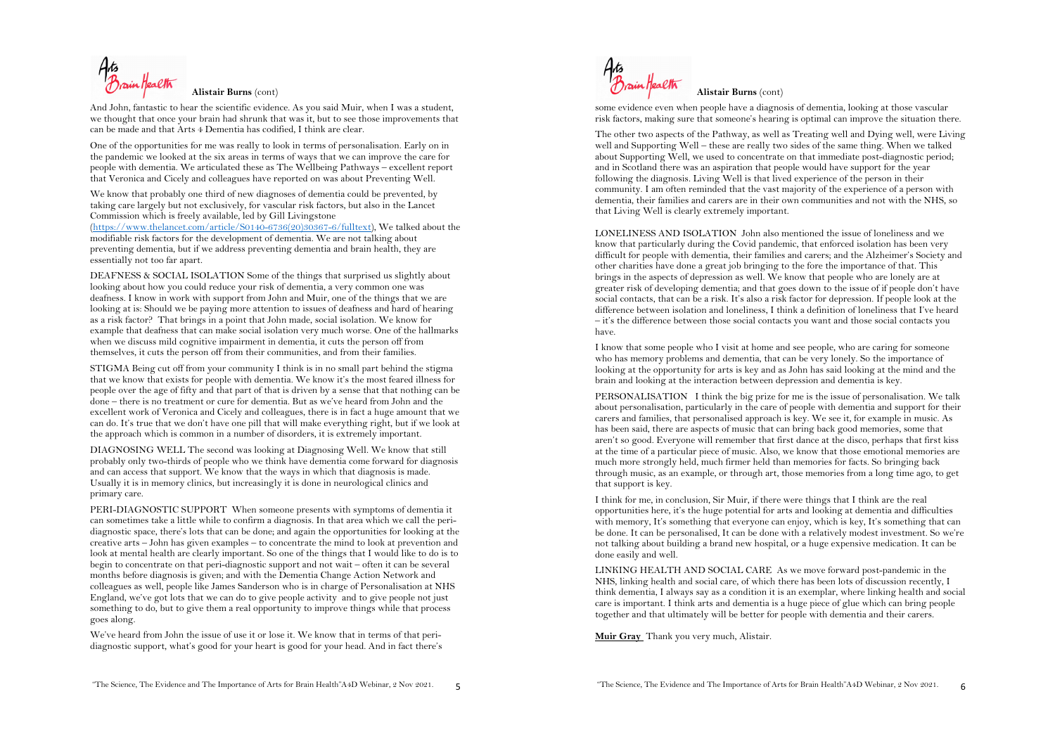

And John, fantastic to hear the scientific evidence. As you said Muir, when I was a student, we thought that once your brain had shrunk that was it, but to see those improvements that can be made and that Arts 4 Dementia has codified, I think are clear.

One of the opportunities for me was really to look in terms of personalisation. Early on in the pandemic we looked at the six areas in terms of ways that we can improve the care for people with dementia. We articulated these as The Wellbeing Pathways – excellent report that Veronica and Cicely and colleagues have reported on was about Preventing Well.

We know that probably one third of new diagnoses of dementia could be prevented, by taking care largely but not exclusively, for vascular risk factors, but also in the Lancet Commission which is freely available, led by Gill Livingstone

(https://www.thelancet.com/article/S0140-6736(20)30367-6/fulltext), We talked about the modifiable risk factors for the development of dementia. We are not talking about preventing dementia, but if we address preventing dementia and brain health, they are essentially not too far apart.

DEAFNESS & SOCIAL ISOLATION Some of the things that surprised us slightly about looking about how you could reduce your risk of dementia, a very common one was deafness. I know in work with support from John and Muir, one of the things that we are looking at is: Should we be paying more attention to issues of deafness and hard of hearing as a risk factor? That brings in a point that John made, social isolation. We know for example that deafness that can make social isolation very much worse. One of the hallmarks when we discuss mild cognitive impairment in dementia, it cuts the person off from themselves, it cuts the person off from their communities, and from their families.

STIGMA Being cut off from your community I think is in no small part behind the stigma that we know that exists for people with dementia. We know it's the most feared illness for people over the age of fifty and that part of that is driven by a sense that that nothing can be done – there is no treatment or cure for dementia. But as we've heard from John and the excellent work of Veronica and Cicely and colleagues, there is in fact a huge amount that we can do. It's true that we don't have one pill that will make everything right, but if we look at the approach which is common in a number of disorders, it is extremely important.

DIAGNOSING WELL The second was looking at Diagnosing Well. We know that still probably only two-thirds of people who we think have dementia come forward for diagnosis and can access that support. We know that the ways in which that diagnosis is made. Usually it is in memory clinics, but increasingly it is done in neurological clinics and primary care.

PERI-DIAGNOSTIC SUPPORT When someone presents with symptoms of dementia it can sometimes take a little while to confirm a diagnosis. In that area which we call the peridiagnostic space, there's lots that can be done; and again the opportunities for looking at the creative arts – John has given examples – to concentrate the mind to look at prevention and look at mental health are clearly important. So one of the things that I would like to do is to begin to concentrate on that peri-diagnostic support and not wait – often it can be several months before diagnosis is given; and with the Dementia Change Action Network and colleagues as well, people like James Sanderson who is in charge of Personalisation at NHS England, we've got lots that we can do to give people activity and to give people not just something to do, but to give them a real opportunity to improve things while that process goes along.

We've heard from John the issue of use it or lose it. We know that in terms of that peridiagnostic support, what's good for your heart is good for your head. And in fact there's



some evidence even when people have a diagnosis of dementia, looking at those vascular risk factors, making sure that someone's hearing is optimal can improve the situation there.

The other two aspects of the Pathway, as well as Treating well and Dying well, were Living well and Supporting Well – these are really two sides of the same thing. When we talked about Supporting Well, we used to concentrate on that immediate post-diagnostic period; and in Scotland there was an aspiration that people would have support for the year following the diagnosis. Living Well is that lived experience of the person in their community. I am often reminded that the vast majority of the experience of a person with dementia, their families and carers are in their own communities and not with the NHS, so that Living Well is clearly extremely important.

LONELINESS AND ISOLATION John also mentioned the issue of loneliness and we know that particularly during the Covid pandemic, that enforced isolation has been very difficult for people with dementia, their families and carers; and the Alzheimer's Society and other charities have done a great job bringing to the fore the importance of that. This brings in the aspects of depression as well. We know that people who are lonely are at greater risk of developing dementia; and that goes down to the issue of if people don't have social contacts, that can be a risk. It's also a risk factor for depression. If people look at the difference between isolation and loneliness, I think a definition of loneliness that I've heard – it's the difference between those social contacts you want and those social contacts you have.

I know that some people who I visit at home and see people, who are caring for someone who has memory problems and dementia, that can be very lonely. So the importance of looking at the opportunity for arts is key and as John has said looking at the mind and the brain and looking at the interaction between depression and dementia is key.

PERSONALISATION I think the big prize for me is the issue of personalisation. We talk about personalisation, particularly in the care of people with dementia and support for their carers and families, that personalised approach is key. We see it, for example in music. As has been said, there are aspects of music that can bring back good memories, some that aren't so good. Everyone will remember that first dance at the disco, perhaps that first kiss at the time of a particular piece of music. Also, we know that those emotional memories are much more strongly held, much firmer held than memories for facts. So bringing back through music, as an example, or through art, those memories from a long time ago, to get that support is key.

I think for me, in conclusion, Sir Muir, if there were things that I think are the real opportunities here, it's the huge potential for arts and looking at dementia and difficulties with memory, It's something that everyone can enjoy, which is key, It's something that can be done. It can be personalised, It can be done with a relatively modest investment. So we're not talking about building a brand new hospital, or a huge expensive medication. It can be done easily and well.

LINKING HEALTH AND SOCIAL CARE As we move forward post-pandemic in the NHS, linking health and social care, of which there has been lots of discussion recently, I think dementia, I always say as a condition it is an exemplar, where linking health and social care is important. I think arts and dementia is a huge piece of glue which can bring people together and that ultimately will be better for people with dementia and their carers.

**Muir Gray** Thank you very much, Alistair.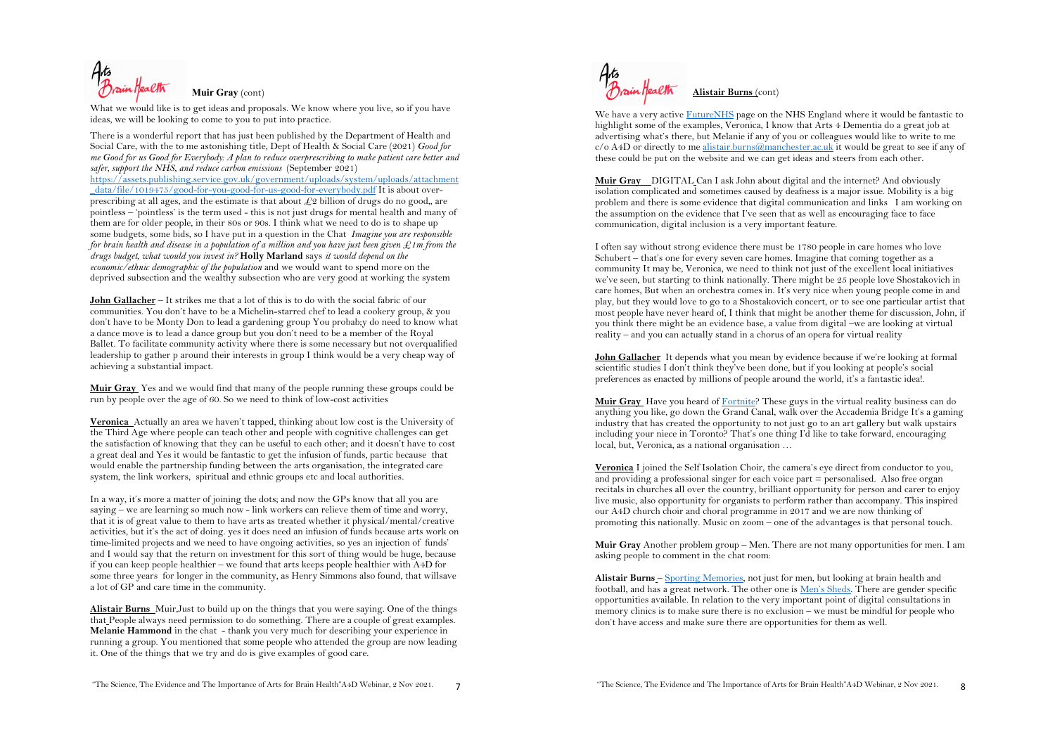**Muir Gray** (cont)

What we would like is to get ideas and proposals. We know where you live, so if you have ideas, we will be looking to come to you to put into practice.

There is a wonderful report that has just been published by the Department of Health and Social Care, with the to me astonishing title, Dept of Health & Social Care (2021) *Good for me Good for us Good for Everybody: A plan to reduce overprescribing to make patient care better and safer, support the NHS, and reduce carbon emissions* (September 2021)

https://assets.publishing.service.gov.uk/government/uploads/system/uploads/attachment \_data/file/1019475/good-for-you-good-for-us-good-for-everybody.pdf It is about overprescribing at all ages, and the estimate is that about  $\mathcal{L}2$  billion of drugs do no good,, are pointless – 'pointless' is the term used - this is not just drugs for mental health and many of them are for older people, in their 80s or 90s. I think what we need to do is to shape up some budgets, some bids, so I have put in a question in the Chat *Imagine you are responsible for brain health and disease in a population of a million and you have just been given £1m from the drugs budget, what would you invest in?* **Holly Marland** says *it would depend on the economic/ethnic demographic of the population* and we would want to spend more on the deprived subsection and the wealthy subsection who are very good at working the system

**John Gallacher** – It strikes me that a lot of this is to do with the social fabric of our communities. You don't have to be a Michelin-starred chef to lead a cookery group, & you don't have to be Monty Don to lead a gardening group You probab;y do need to know what a dance move is to lead a dance group but you don't need to be a member of the Royal Ballet. To facilitate community activity where there is some necessary but not overqualified leadership to gather p around their interests in group I think would be a very cheap way of achieving a substantial impact.

**Muir Gray** Yes and we would find that many of the people running these groups could be run by people over the age of 60. So we need to think of low-cost activities

**Veronica** Actually an area we haven't tapped, thinking about low cost is the University of the Third Age where people can teach other and people with cognitive challenges can get the satisfaction of knowing that they can be useful to each other; and it doesn't have to cost a great deal and Yes it would be fantastic to get the infusion of funds, partic because that would enable the partnership funding between the arts organisation, the integrated care system, the link workers, spiritual and ethnic groups etc and local authorities.

In a way, it's more a matter of joining the dots; and now the GPs know that all you are saying – we are learning so much now - link workers can relieve them of time and worry, that it is of great value to them to have arts as treated whether it physical/mental/creative activities, but it's the act of doing. yes it does need an infusion of funds because arts work on time-limited projects and we need to have ongoing activities, so yes an injection of funds' and I would say that the return on investment for this sort of thing would be huge, because if you can keep people healthier – we found that arts keeps people healthier with A4D for some three years for longer in the community, as Henry Simmons also found, that willsave a lot of GP and care time in the community.

**Alistair Burns** Muir,Just to build up on the things that you were saying. One of the things that People always need permission to do something. There are a couple of great examples. **Melanie Hammond** in the chat - thank you very much for describing your experience in running a group. You mentioned that some people who attended the group are now leading it. One of the things that we try and do is give examples of good care.



We have a very active FutureNHS page on the NHS England where it would be fantastic to highlight some of the examples, Veronica, I know that Arts 4 Dementia do a great job at advertising what's there, but Melanie if any of you or colleagues would like to write to me c/o A4D or directly to me alistair.burns@manchester.ac.uk it would be great to see if any of these could be put on the website and we can get ideas and steers from each other.

**Muir Gray** DIGITAL Can I ask John about digital and the internet? And obviously isolation complicated and sometimes caused by deafness is a major issue. Mobility is a big problem and there is some evidence that digital communication and links I am working on the assumption on the evidence that I've seen that as well as encouraging face to face communication, digital inclusion is a very important feature.

I often say without strong evidence there must be 1780 people in care homes who love Schubert – that's one for every seven care homes. Imagine that coming together as a community It may be, Veronica, we need to think not just of the excellent local initiatives we've seen, but starting to think nationally. There might be 25 people love Shostakovich in care homes, But when an orchestra comes in. It's very nice when young people come in and play, but they would love to go to a Shostakovich concert, or to see one particular artist that most people have never heard of, I think that might be another theme for discussion, John, if you think there might be an evidence base, a value from digital –we are looking at virtual reality – and you can actually stand in a chorus of an opera for virtual reality

**John Gallacher** It depends what you mean by evidence because if we're looking at formal scientific studies I don't think they've been done, but if you looking at people's social preferences as enacted by millions of people around the world, it's a fantastic idea!.

**Muir Gray** Have you heard of Fortnite? These guys in the virtual reality business can do anything you like, go down the Grand Canal, walk over the Accademia Bridge It's a gaming industry that has created the opportunity to not just go to an art gallery but walk upstairs including your niece in Toronto? That's one thing I'd like to take forward, encouraging local, but, Veronica, as a national organisation …

**Veronica** I joined the Self Isolation Choir, the camera's eye direct from conductor to you, and providing a professional singer for each voice part = personalised. Also free organ recitals in churches all over the country, brilliant opportunity for person and carer to enjoy live music, also opportunity for organists to perform rather than accompany. This inspired our A4D church choir and choral programme in 2017 and we are now thinking of promoting this nationally. Music on zoom – one of the advantages is that personal touch.

**Muir Gray** Another problem group – Men. There are not many opportunities for men. I am asking people to comment in the chat room:

**Alistair Burns** – Sporting Memories, not just for men, but looking at brain health and football, and has a great network. The other one is Men's Sheds. There are gender specific opportunities available. In relation to the very important point of digital consultations in memory clinics is to make sure there is no exclusion – we must be mindful for people who don't have access and make sure there are opportunities for them as well.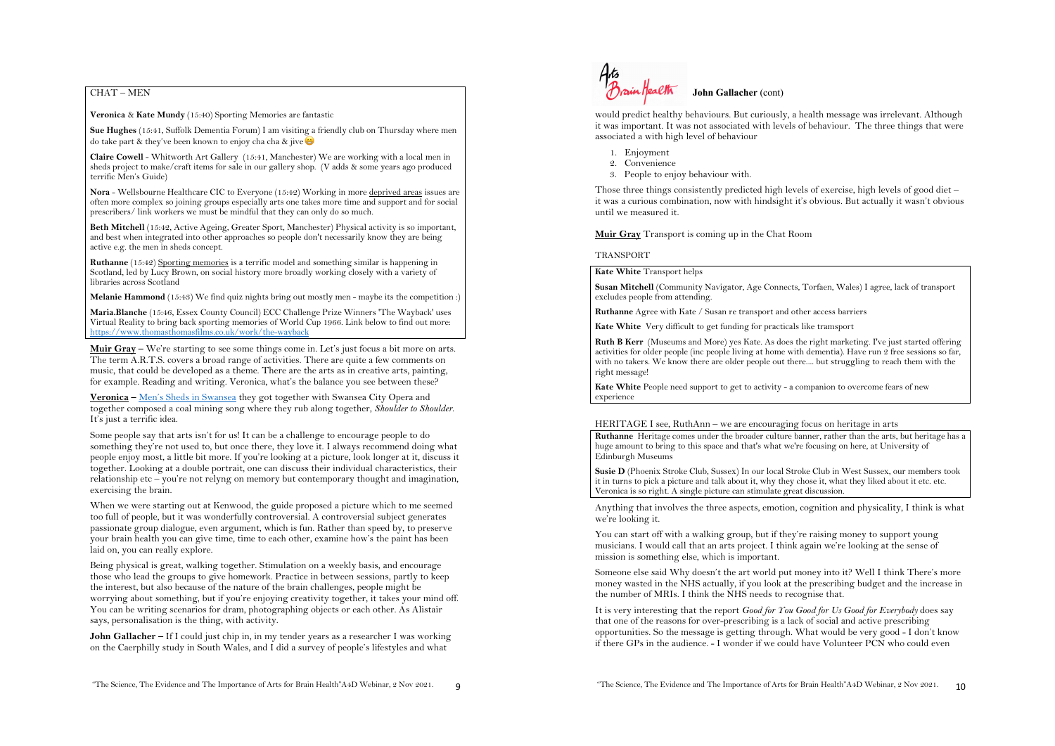# CHAT – MEN

**Veronica** & **Kate Mundy** (15:40) Sporting Memories are fantastic

**Sue Hughes** (15:41, Suffolk Dementia Forum) I am visiting a friendly club on Thursday where men do take part  $\&$  they've been known to enjoy cha cha  $\&$  jive

**Claire Cowell** - Whitworth Art Gallery (15:41, Manchester) We are working with a local men in sheds project to make/craft items for sale in our gallery shop. (V adds & some years ago produced terrific Men's Guide)

**Nora** - Wellsbourne Healthcare CIC to Everyone (15:42) Working in more deprived areas issues are often more complex so joining groups especially arts one takes more time and support and for social prescribers/ link workers we must be mindful that they can only do so much.

**Beth Mitchell** (15:42, Active Ageing, Greater Sport, Manchester) Physical activity is so important, and best when integrated into other approaches so people don't necessarily know they are being active e.g. the men in sheds concept.

**Ruthanne** (15:42) Sporting memories is a terrific model and something similar is happening in Scotland, led by Lucy Brown, on social history more broadly working closely with a variety of libraries across Scotland

**Melanie Hammond** (15:43) We find quiz nights bring out mostly men - maybe its the competition :)

**Maria.Blanche** (15:46, Essex County Council) ECC Challenge Prize Winners 'The Wayback' uses Virtual Reality to bring back sporting memories of World Cup 1966. Link below to find out more: https://www.thomasthomasfilms.co.uk/work/the-wayback

**Muir Gray –** We're starting to see some things come in. Let's just focus a bit more on arts. The term A.R.T.S. covers a broad range of activities. There are quite a few comments on music, that could be developed as a theme. There are the arts as in creative arts, painting, for example. Reading and writing. Veronica, what's the balance you see between these?

**Veronica –** Men's Sheds in Swansea they got together with Swansea City Opera and together composed a coal mining song where they rub along together, *Shoulder to Shoulder*. It's just a terrific idea.

Some people say that arts isn't for us! It can be a challenge to encourage people to do something they're not used to, but once there, they love it. I always recommend doing what people enjoy most, a little bit more. If you're looking at a picture, look longer at it, discuss it together. Looking at a double portrait, one can discuss their individual characteristics, their relationship etc – you're not relyng on memory but contemporary thought and imagination, exercising the brain.

When we were starting out at Kenwood, the guide proposed a picture which to me seemed too full of people, but it was wonderfully controversial. A controversial subject generates passionate group dialogue, even argument, which is fun. Rather than speed by, to preserve your brain health you can give time, time to each other, examine how's the paint has been laid on, you can really explore.

Being physical is great, walking together. Stimulation on a weekly basis, and encourage those who lead the groups to give homework. Practice in between sessions, partly to keep the interest, but also because of the nature of the brain challenges, people might be worrying about something, but if you're enjoying creativity together, it takes your mind off. You can be writing scenarios for dram, photographing objects or each other. As Alistair says, personalisation is the thing, with activity.

**John Gallacher –** If I could just chip in, in my tender years as a researcher I was working on the Caerphilly study in South Wales, and I did a survey of people's lifestyles and what



would predict healthy behaviours. But curiously, a health message was irrelevant. Although it was important. It was not associated with levels of behaviour. The three things that were associated a with high level of behaviour

- 1. Enjoyment
- 2. Convenience
- 3. People to enjoy behaviour with.

Those three things consistently predicted high levels of exercise, high levels of good diet – it was a curious combination, now with hindsight it's obvious. But actually it wasn't obvious until we measured it.

**Muir Gray** Transport is coming up in the Chat Room

### TRANSPORT

**Kate White** Transport helps

**Susan Mitchell** (Community Navigator, Age Connects, Torfaen, Wales) I agree, lack of transport excludes people from attending.

**Ruthanne** Agree with Kate / Susan re transport and other access barriers

**Kate White** Very difficult to get funding for practicals like tramsport

**Ruth B Kerr** (Museums and More) yes Kate. As does the right marketing. I've just started offering activities for older people (inc people living at home with dementia). Have run 2 free sessions so far, with no takers. We know there are older people out there.... but struggling to reach them with the right message!

**Kate White** People need support to get to activity - a companion to overcome fears of new experience

### HERITAGE I see, RuthAnn – we are encouraging focus on heritage in arts

**Ruthanne** Heritage comes under the broader culture banner, rather than the arts, but heritage has a huge amount to bring to this space and that's what we're focusing on here, at University of Edinburgh Museums

**Susie D** (Phoenix Stroke Club, Sussex) In our local Stroke Club in West Sussex, our members took it in turns to pick a picture and talk about it, why they chose it, what they liked about it etc. etc. Veronica is so right. A single picture can stimulate great discussion.

Anything that involves the three aspects, emotion, cognition and physicality, I think is what we're looking it.

You can start off with a walking group, but if they're raising money to support young musicians. I would call that an arts project. I think again we're looking at the sense of mission is something else, which is important.

Someone else said Why doesn't the art world put money into it? Well I think There's more money wasted in the NHS actually, if you look at the prescribing budget and the increase in the number of MRIs. I think the NHS needs to recognise that.

It is very interesting that the report *Good for You Good for Us Good for Everybody* does say that one of the reasons for over-prescribing is a lack of social and active prescribing opportunities. So the message is getting through. What would be very good - I don't know if there GPs in the audience. - I wonder if we could have Volunteer PCN who could even